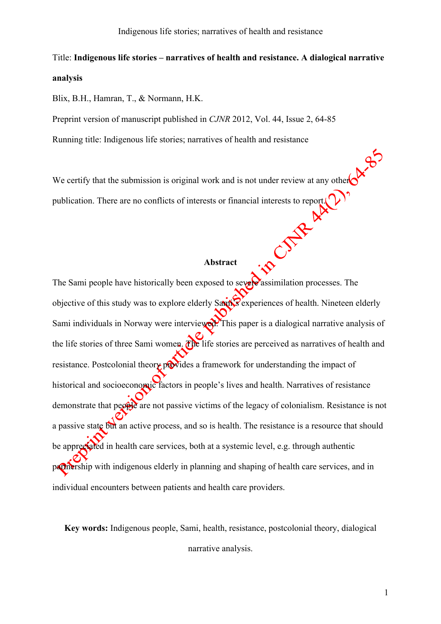# Title: **Indigenous life stories – narratives of health and resistance. A dialogical narrative analysis**

Blix, B.H., Hamran, T., & Normann, H.K.

Preprint version of manuscript published in *CJNR* 2012, Vol. 44, Issue 2, 64-85

Running title: Indigenous life stories; narratives of health and resistance

We certify that the submission is original work and is not under review at any other publication. There are no conflicts of interests or financial interests to report.

# **Abstract**

The Sami people have historically been exposed to severe assimilation processes. The objective of this study was to explore elderly Samily experiences of health. Nineteen elderly Sami individuals in Norway were interviewed. This paper is a dialogical narrative analysis of the life stories of three Sami women. The life stories are perceived as narratives of health and resistance. Postcolonial theory provides a framework for understanding the impact of historical and socioeconomic factors in people's lives and health. Narratives of resistance demonstrate that people are not passive victims of the legacy of colonialism. Resistance is not a passive state but an active process, and so is health. The resistance is a resource that should be appreciated in health care services, both at a systemic level, e.g. through authentic partnership with indigenous elderly in planning and shaping of health care services, and in individual encounters between patients and health care providers.

**Key words:** Indigenous people, Sami, health, resistance, postcolonial theory, dialogical narrative analysis.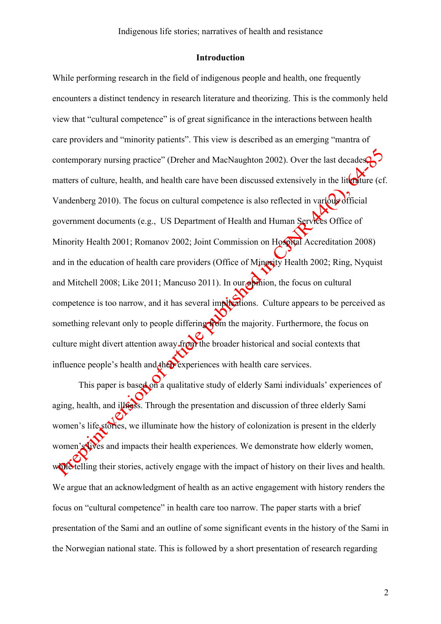# **Introduction**

While performing research in the field of indigenous people and health, one frequently encounters a distinct tendency in research literature and theorizing. This is the commonly held view that "cultural competence" is of great significance in the interactions between health care providers and "minority patients". This view is described as an emerging "mantra of contemporary nursing practice" (Dreher and MacNaughton 2002). Over the last decades, matters of culture, health, and health care have been discussed extensively in the literature (cf. Vandenberg 2010). The focus on cultural competence is also reflected in various official government documents (e.g., US Department of Health and Human Services Office of Minority Health 2001; Romanov 2002; Joint Commission on Hospital Accreditation 2008) and in the education of health care providers (Office of Minority Health 2002; Ring, Nyquist and Mitchell 2008; Like 2011; Mancuso 2011). In our  $\circ$  mion, the focus on cultural competence is too narrow, and it has several implications. Culture appears to be perceived as something relevant only to people differing from the majority. Furthermore, the focus on culture might divert attention away from the broader historical and social contexts that influence people's health and the experiences with health care services.

This paper is based on a qualitative study of elderly Sami individuals' experiences of aging, health, and illoss. Through the presentation and discussion of three elderly Sami women's life stories, we illuminate how the history of colonization is present in the elderly women's lives and impacts their health experiences. We demonstrate how elderly women, while telling their stories, actively engage with the impact of history on their lives and health. We argue that an acknowledgment of health as an active engagement with history renders the focus on "cultural competence" in health care too narrow. The paper starts with a brief presentation of the Sami and an outline of some significant events in the history of the Sami in the Norwegian national state. This is followed by a short presentation of research regarding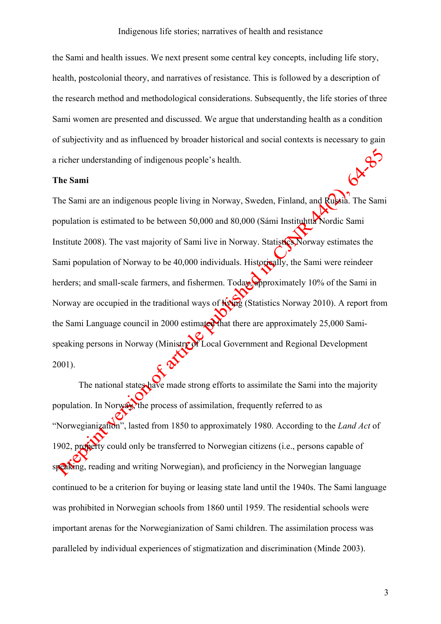the Sami and health issues. We next present some central key concepts, including life story, health, postcolonial theory, and narratives of resistance. This is followed by a description of the research method and methodological considerations. Subsequently, the life stories of three Sami women are presented and discussed. We argue that understanding health as a condition of subjectivity and as influenced by broader historical and social contexts is necessary to gain G<sup>A-95</sup> a richer understanding of indigenous people's health.

### **The Sami**

The Sami are an indigenous people living in Norway, Sweden, Finland, and Russia. The Sami population is estimated to be between 50,000 and 80,000 (Sámi Instituhtta Nordic Sami Institute 2008). The vast majority of Sami live in Norway. Statistics Norway estimates the Sami population of Norway to be 40,000 individuals. Historically, the Sami were reindeer herders; and small-scale farmers, and fishermen. Today, approximately 10% of the Sami in Norway are occupied in the traditional ways of  $\frac{1}{2}$  (Statistics Norway 2010). A report from the Sami Language council in 2000 estimated that there are approximately 25,000 Samispeaking persons in Norway (Ministry of Local Government and Regional Development 2001).

The national states have made strong efforts to assimilate the Sami into the majority population. In Norway, the process of assimilation, frequently referred to as "Norwegianization", lasted from 1850 to approximately 1980. According to the *Land Act* of 1902, property could only be transferred to Norwegian citizens (i.e., persons capable of speaking, reading and writing Norwegian), and proficiency in the Norwegian language continued to be a criterion for buying or leasing state land until the 1940s. The Sami language was prohibited in Norwegian schools from 1860 until 1959. The residential schools were important arenas for the Norwegianization of Sami children. The assimilation process was paralleled by individual experiences of stigmatization and discrimination (Minde 2003).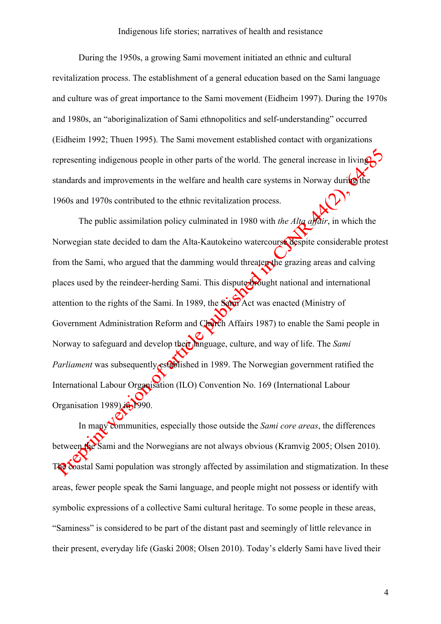During the 1950s, a growing Sami movement initiated an ethnic and cultural revitalization process. The establishment of a general education based on the Sami language and culture was of great importance to the Sami movement (Eidheim 1997). During the 1970s and 1980s, an "aboriginalization of Sami ethnopolitics and self-understanding" occurred (Eidheim 1992; Thuen 1995). The Sami movement established contact with organizations representing indigenous people in other parts of the world. The general increase in living standards and improvements in the welfare and health care systems in Norway during the 1960s and 1970s contributed to the ethnic revitalization process.

The public assimilation policy culminated in 1980 with *the Alta affair*, in which the Norwegian state decided to dam the Alta-Kautokeino watercourse despite considerable protest from the Sami, who argued that the damming would threaten the grazing areas and calving places used by the reindeer-herding Sami. This dispute brought national and international attention to the rights of the Sami. In 1989, the Sami Act was enacted (Ministry of Government Administration Reform and Church Affairs 1987) to enable the Sami people in Norway to safeguard and develop their language, culture, and way of life. The *Sami Parliament* was subsequently established in 1989. The Norwegian government ratified the International Labour Organisation (ILO) Convention No. 169 (International Labour Organisation 1989) in 1990.

In many communities, especially those outside the *Sami core areas*, the differences between the Sami and the Norwegians are not always obvious (Kramvig 2005; Olsen 2010). The coastal Sami population was strongly affected by assimilation and stigmatization. In these areas, fewer people speak the Sami language, and people might not possess or identify with symbolic expressions of a collective Sami cultural heritage. To some people in these areas, "Saminess" is considered to be part of the distant past and seemingly of little relevance in their present, everyday life (Gaski 2008; Olsen 2010). Today's elderly Sami have lived their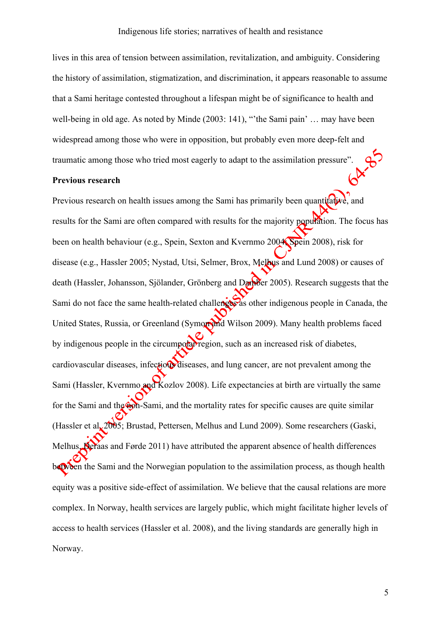lives in this area of tension between assimilation, revitalization, and ambiguity. Considering the history of assimilation, stigmatization, and discrimination, it appears reasonable to assume that a Sami heritage contested throughout a lifespan might be of significance to health and well-being in old age. As noted by Minde (2003: 141), "the Sami pain' ... may have been widespread among those who were in opposition, but probably even more deep-felt and traumatic among those who tried most eagerly to adapt to the assimilation pressure".

### **Previous research**

Previous research on health issues among the Sami has primarily been quantitative, and results for the Sami are often compared with results for the majority population. The focus has been on health behaviour (e.g., Spein, Sexton and Kvernmo 2004; Spein 2008), risk for disease (e.g., Hassler 2005; Nystad, Utsi, Selmer, Brox, Melhus and Lund 2008) or causes of death (Hassler, Johansson, Sjölander, Grönberg and Damber 2005). Research suggests that the Sami do not face the same health-related challenges as other indigenous people in Canada, the United States, Russia, or Greenland (Symon and Wilson 2009). Many health problems faced by indigenous people in the circumpodar region, such as an increased risk of diabetes, cardiovascular diseases, infectious diseases, and lung cancer, are not prevalent among the Sami (Hassler, Kvernmo and Kozlov 2008). Life expectancies at birth are virtually the same for the Sami and the **Aph-Sami**, and the mortality rates for specific causes are quite similar (Hassler et al.  $2005$ ; Brustad, Pettersen, Melhus and Lund 2009). Some researchers (Gaski, Melhus, Deraas and Førde 2011) have attributed the apparent absence of health differences between the Sami and the Norwegian population to the assimilation process, as though health equity was a positive side-effect of assimilation. We believe that the causal relations are more complex. In Norway, health services are largely public, which might facilitate higher levels of access to health services (Hassler et al. 2008), and the living standards are generally high in Norway.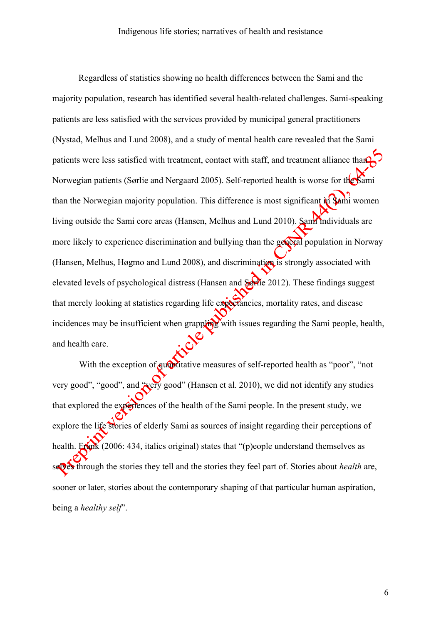Regardless of statistics showing no health differences between the Sami and the majority population, research has identified several health-related challenges. Sami-speaking patients are less satisfied with the services provided by municipal general practitioners (Nystad, Melhus and Lund 2008), and a study of mental health care revealed that the Sami patients were less satisfied with treatment, contact with staff, and treatment alliance than Norwegian patients (Sørlie and Nergaard 2005). Self-reported health is worse for the Sami than the Norwegian majority population. This difference is most significant in  $\sin$  women living outside the Sami core areas (Hansen, Melhus and Lund 2010). Sami individuals are more likely to experience discrimination and bullying than the general population in Norway (Hansen, Melhus, Høgmo and Lund 2008), and discrimination is strongly associated with elevated levels of psychological distress (Hansen and Sørlie 2012). These findings suggest that merely looking at statistics regarding life expectancies, mortality rates, and disease incidences may be insufficient when grappling with issues regarding the Sami people, health, and health care.

With the exception of quantitative measures of self-reported health as "poor", "not very good", "good", and "very good" (Hansen et al. 2010), we did not identify any studies that explored the experiences of the health of the Sami people. In the present study, we explore the life stories of elderly Sami as sources of insight regarding their perceptions of health. Frank (2006: 434, italics original) states that "(p)eople understand themselves as selves through the stories they tell and the stories they feel part of. Stories about *health* are, sooner or later, stories about the contemporary shaping of that particular human aspiration, being a *healthy self*".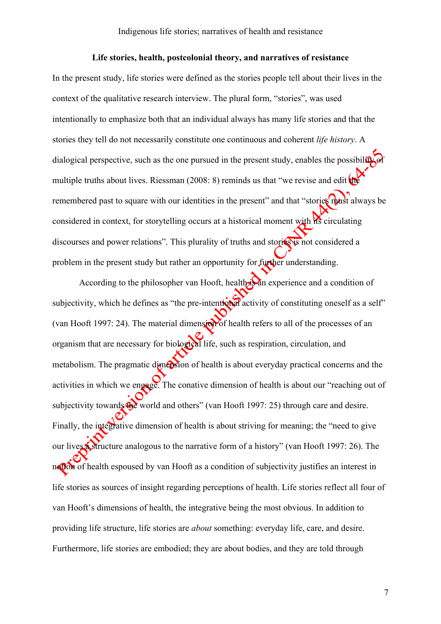# **Life stories, health, postcolonial theory, and narratives of resistance**

In the present study, life stories were defined as the stories people tell about their lives in the context of the qualitative research interview. The plural form, "stories", was used intentionally to emphasize both that an individual always has many life stories and that the stories they tell do not necessarily constitute one continuous and coherent *life history*. A dialogical perspective, such as the one pursued in the present study, enables the possibility of multiple truths about lives. Riessman (2008: 8) reminds us that "we revise and edit  $\theta$ remembered past to square with our identities in the present" and that "stories must always be considered in context, for storytelling occurs at a historical moment with  $\overrightarrow{HS}$  circulating discourses and power relations". This plurality of truths and stories is not considered a problem in the present study but rather an opportunity for further understanding.

According to the philosopher van Hooft, health  $\lambda$  an experience and a condition of subjectivity, which he defines as "the pre-intentional activity of constituting oneself as a self" (van Hooft 1997: 24). The material dimension of health refers to all of the processes of an organism that are necessary for biological life, such as respiration, circulation, and metabolism. The pragmatic dimension of health is about everyday practical concerns and the activities in which we engage. The conative dimension of health is about our "reaching out of subjectivity towards the world and others" (van Hooft 1997: 25) through care and desire. Finally, the integrative dimension of health is about striving for meaning; the "need to give our lives a structure analogous to the narrative form of a history" (van Hooft 1997: 26). The not of health espoused by van Hooft as a condition of subjectivity justifies an interest in life stories as sources of insight regarding perceptions of health. Life stories reflect all four of van Hooft's dimensions of health, the integrative being the most obvious. In addition to providing life structure, life stories are *about* something: everyday life, care, and desire. Furthermore, life stories are embodied; they are about bodies, and they are told through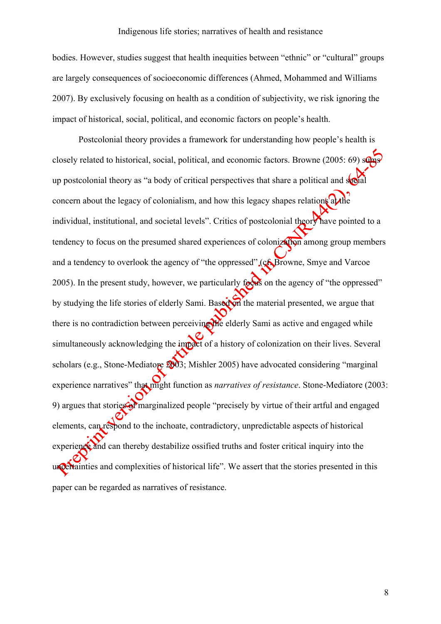bodies. However, studies suggest that health inequities between "ethnic" or "cultural" groups are largely consequences of socioeconomic differences (Ahmed, Mohammed and Williams 2007). By exclusively focusing on health as a condition of subjectivity, we risk ignoring the impact of historical, social, political, and economic factors on people's health.

Postcolonial theory provides a framework for understanding how people's health is closely related to historical, social, political, and economic factors. Browne (2005: 69) sums up postcolonial theory as "a body of critical perspectives that share a political and  $\delta$ concern about the legacy of colonialism, and how this legacy shapes relations  $\alpha t$ individual, institutional, and societal levels". Critics of postcolonial theory have pointed to a tendency to focus on the presumed shared experiences of colonization among group members and a tendency to overlook the agency of "the oppressed" (cf. Browne, Smye and Varcoe 2005). In the present study, however, we particularly for  $\frac{1}{2}$  on the agency of "the oppressed" by studying the life stories of elderly Sami. Based on the material presented, we argue that there is no contradiction between perceiving the elderly Sami as active and engaged while simultaneously acknowledging the impact of a history of colonization on their lives. Several scholars (e.g., Stone-Mediatore 2003; Mishler 2005) have advocated considering "marginal experience narratives" that might function as *narratives of resistance*. Stone-Mediatore (2003: 9) argues that stories of marginalized people "precisely by virtue of their artful and engaged elements, can respond to the inchoate, contradictory, unpredictable aspects of historical experience and can thereby destabilize ossified truths and foster critical inquiry into the uncertainties and complexities of historical life". We assert that the stories presented in this paper can be regarded as narratives of resistance.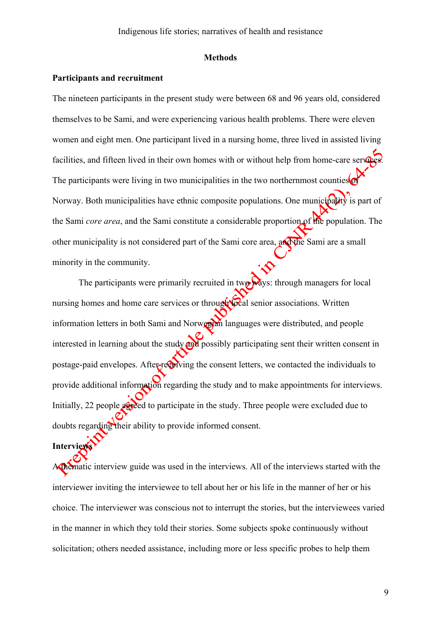#### **Methods**

# **Participants and recruitment**

The nineteen participants in the present study were between 68 and 96 years old, considered themselves to be Sami, and were experiencing various health problems. There were eleven women and eight men. One participant lived in a nursing home, three lived in assisted living facilities, and fifteen lived in their own homes with or without help from home-care services. The participants were living in two municipalities in the two northernmost counties Norway. Both municipalities have ethnic composite populations. One municipality is part of the Sami *core area*, and the Sami constitute a considerable proportion of the population. The other municipality is not considered part of the Sami core area, and the Sami are a small minority in the community.

The participants were primarily recruited in two ways: through managers for local nursing homes and home care services or through local senior associations. Written information letters in both Sami and Norwegian languages were distributed, and people interested in learning about the study and possibly participating sent their written consent in postage-paid envelopes. After-recoiving the consent letters, we contacted the individuals to provide additional information regarding the study and to make appointments for interviews. Initially, 22 people agreed to participate in the study. Three people were excluded due to doubts regarding their ability to provide informed consent.

**Interview** 

A thematic interview guide was used in the interviews. All of the interviews started with the interviewer inviting the interviewee to tell about her or his life in the manner of her or his choice. The interviewer was conscious not to interrupt the stories, but the interviewees varied in the manner in which they told their stories. Some subjects spoke continuously without solicitation; others needed assistance, including more or less specific probes to help them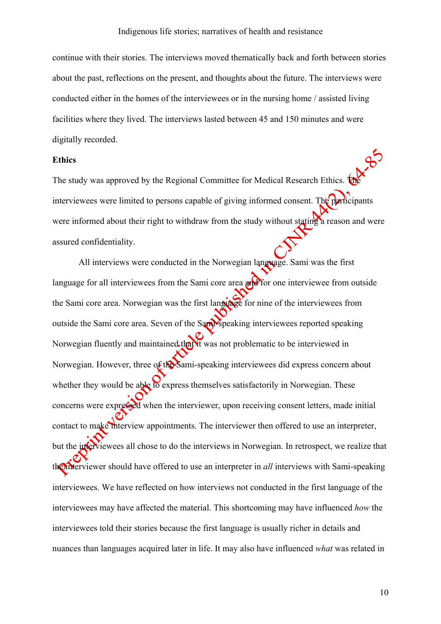continue with their stories. The interviews moved thematically back and forth between stories about the past, reflections on the present, and thoughts about the future. The interviews were conducted either in the homes of the interviewees or in the nursing home / assisted living facilities where they lived. The interviews lasted between 45 and 150 minutes and were digitally recorded.

# **Ethics**

The study was approved by the Regional Committee for Medical Research Ethics. interviewees were limited to persons capable of giving informed consent. The participants were informed about their right to withdraw from the study without stating a reason and were assured confidentiality.

All interviews were conducted in the Norwegian language. Sami was the first language for all interviewees from the Sami core area  $\partial f$  for one interviewee from outside the Sami core area. Norwegian was the first language for nine of the interviewees from outside the Sami core area. Seven of the Sami-speaking interviewees reported speaking Norwegian fluently and maintained that it was not problematic to be interviewed in Norwegian. However, three of the Sami-speaking interviewees did express concern about whether they would be able to express themselves satisfactorily in Norwegian. These concerns were expressed when the interviewer, upon receiving consent letters, made initial contact to make the interview appointments. The interviewer then offered to use an interpreter, but the interviewees all chose to do the interviews in Norwegian. In retrospect, we realize that the interviewer should have offered to use an interpreter in *all* interviews with Sami-speaking interviewees. We have reflected on how interviews not conducted in the first language of the interviewees may have affected the material. This shortcoming may have influenced *how* the interviewees told their stories because the first language is usually richer in details and nuances than languages acquired later in life. It may also have influenced *what* was related in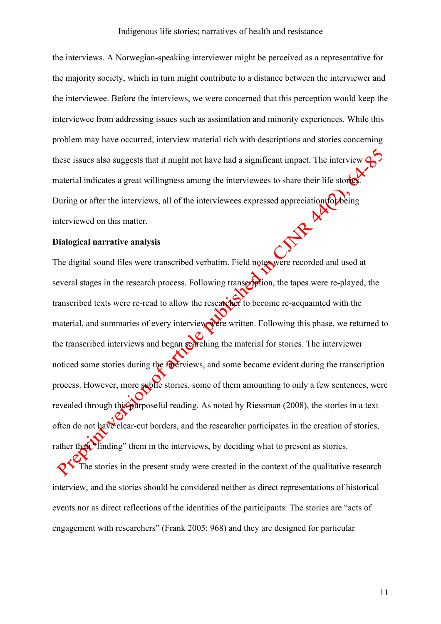the interviews. A Norwegian-speaking interviewer might be perceived as a representative for the majority society, which in turn might contribute to a distance between the interviewer and the interviewee. Before the interviews, we were concerned that this perception would keep the interviewee from addressing issues such as assimilation and minority experiences. While this problem may have occurred, interview material rich with descriptions and stories concerning these issues also suggests that it might not have had a significant impact. The interview material indicates a great willingness among the interviewees to share their life stor During or after the interviews, all of the interviewees expressed appreciation for being interviewed on this matter.

### **Dialogical narrative analysis**

The digital sound files were transcribed verbatim. Field notes were recorded and used at several stages in the research process. Following transcription, the tapes were re-played, the transcribed texts were re-read to allow the researcher to become re-acquainted with the material, and summaries of every interview were written. Following this phase, we returned to the transcribed interviews and began searching the material for stories. The interviewer noticed some stories during the *interviews*, and some became evident during the transcription process. However, more subtle stories, some of them amounting to only a few sentences, were revealed through this purposeful reading. As noted by Riessman (2008), the stories in a text often do not have clear-cut borders, and the researcher participates in the creation of stories, rather than "finding" them in the interviews, by deciding what to present as stories.

The stories in the present study were created in the context of the qualitative research interview, and the stories should be considered neither as direct representations of historical events nor as direct reflections of the identities of the participants. The stories are "acts of engagement with researchers" (Frank 2005: 968) and they are designed for particular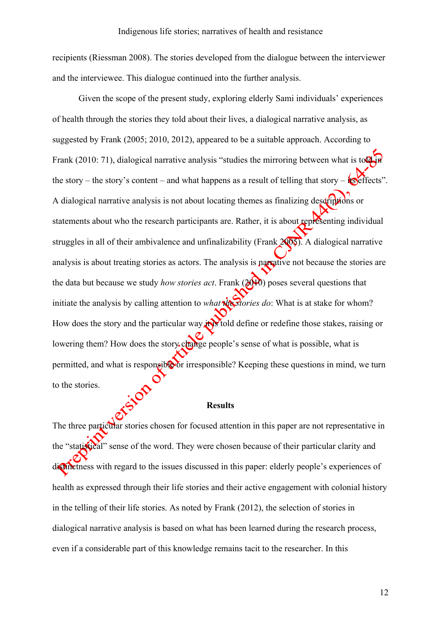recipients (Riessman 2008). The stories developed from the dialogue between the interviewer and the interviewee. This dialogue continued into the further analysis.

Given the scope of the present study, exploring elderly Sami individuals' experiences of health through the stories they told about their lives, a dialogical narrative analysis, as suggested by Frank (2005; 2010, 2012), appeared to be a suitable approach. According to Frank (2010: 71), dialogical narrative analysis "studies the mirroring between what is to  $\alpha$ the story – the story's content – and what happens as a result of telling that story –  $\frac{1}{10}$  effects". A dialogical narrative analysis is not about locating themes as finalizing descriptions or statements about who the research participants are. Rather, it is about representing individual struggles in all of their ambivalence and unfinalizability (Frank 2005). A dialogical narrative analysis is about treating stories as actors. The analysis is parative not because the stories are the data but because we study *how stories act*. Frank ( $\mathcal{L}(\mathcal{H})$ ) poses several questions that initiate the analysis by calling attention to *what the stories do*: What is at stake for whom? How does the story and the particular way in told define or redefine those stakes, raising or lowering them? How does the story change people's sense of what is possible, what is permitted, and what is responsible or irresponsible? Keeping these questions in mind, we turn to the stories.

#### **Results**

The three particular stories chosen for focused attention in this paper are not representative in the "statistical" sense of the word. They were chosen because of their particular clarity and distinctness with regard to the issues discussed in this paper: elderly people's experiences of health as expressed through their life stories and their active engagement with colonial history in the telling of their life stories. As noted by Frank (2012), the selection of stories in dialogical narrative analysis is based on what has been learned during the research process, even if a considerable part of this knowledge remains tacit to the researcher. In this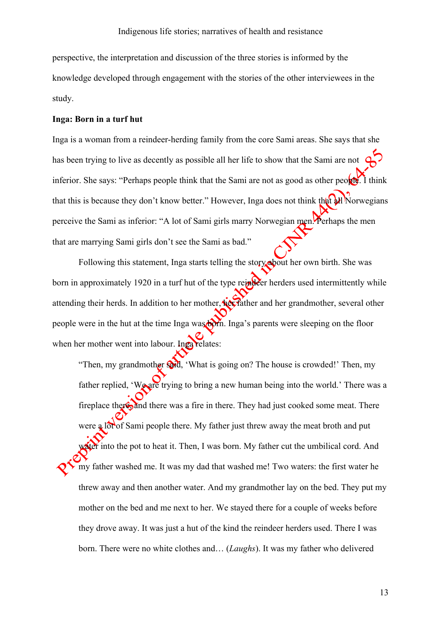perspective, the interpretation and discussion of the three stories is informed by the knowledge developed through engagement with the stories of the other interviewees in the study.

# **Inga: Born in a turf hut**

Inga is a woman from a reindeer-herding family from the core Sami areas. She says that she has been trying to live as decently as possible all her life to show that the Sami are not inferior. She says: "Perhaps people think that the Sami are not as good as other people. I think that this is because they don't know better." However, Inga does not think that all Norwegians perceive the Sami as inferior: "A lot of Sami girls marry Norwegian men. Perhaps the men that are marrying Sami girls don't see the Sami as bad."

Following this statement, Inga starts telling the story about her own birth. She was born in approximately 1920 in a turf hut of the type reindeer herders used intermittently while attending their herds. In addition to her mother, her father and her grandmother, several other people were in the hut at the time Inga was born. Inga's parents were sleeping on the floor when her mother went into labour. Inga relates:

"Then, my grandmother said, 'What is going on? The house is crowded!' Then, my father replied, 'We are trying to bring a new human being into the world.' There was a fireplace there, and there was a fire in there. They had just cooked some meat. There were a lot of Sami people there. My father just threw away the meat broth and put water into the pot to heat it. Then, I was born. My father cut the umbilical cord. And my father washed me. It was my dad that washed me! Two waters: the first water he threw away and then another water. And my grandmother lay on the bed. They put my mother on the bed and me next to her. We stayed there for a couple of weeks before they drove away. It was just a hut of the kind the reindeer herders used. There I was born. There were no white clothes and… (*Laughs*). It was my father who delivered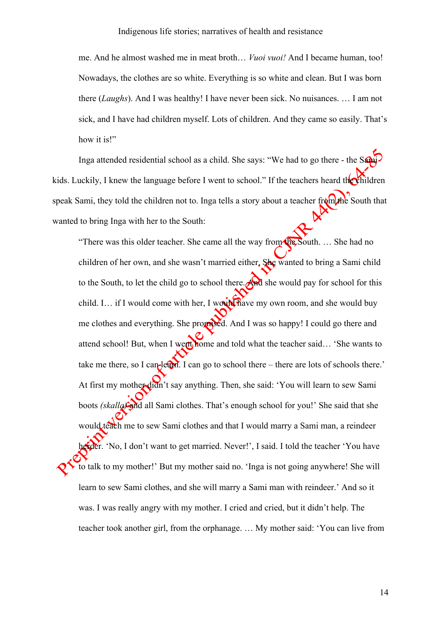me. And he almost washed me in meat broth… *Vuoi vuoi!* And I became human, too! Nowadays, the clothes are so white. Everything is so white and clean. But I was born there (*Laughs*). And I was healthy! I have never been sick. No nuisances. … I am not sick, and I have had children myself. Lots of children. And they came so easily. That's how it is!"

Inga attended residential school as a child. She says: "We had to go there - the Sami kids. Luckily, I knew the language before I went to school." If the teachers heard the children speak Sami, they told the children not to. Inga tells a story about a teacher from the South that wanted to bring Inga with her to the South:

"There was this older teacher. She came all the way from the South. ... She had no children of her own, and she wasn't married either. She wanted to bring a Sami child to the South, to let the child go to school there. And she would pay for school for this child. I… if I would come with her, I would have my own room, and she would buy me clothes and everything. She promised. And I was so happy! I could go there and attend school! But, when I went home and told what the teacher said... 'She wants to take me there, so I can learn. I can go to school there – there are lots of schools there.' At first my mother didn't say anything. Then, she said: 'You will learn to sew Sami boots *(skalla)* and all Sami clothes. That's enough school for you!' She said that she would teach me to sew Sami clothes and that I would marry a Sami man, a reindeer herder. 'No, I don't want to get married. Never!', I said. I told the teacher 'You have to talk to my mother!' But my mother said no. 'Inga is not going anywhere! She will learn to sew Sami clothes, and she will marry a Sami man with reindeer.' And so it was. I was really angry with my mother. I cried and cried, but it didn't help. The teacher took another girl, from the orphanage. … My mother said: 'You can live from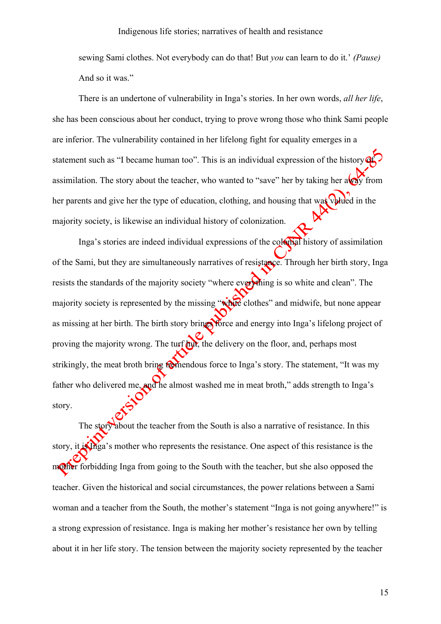sewing Sami clothes. Not everybody can do that! But *you* can learn to do it.' *(Pause)* And so it was."

There is an undertone of vulnerability in Inga's stories. In her own words, *all her life*, she has been conscious about her conduct, trying to prove wrong those who think Sami people are inferior. The vulnerability contained in her lifelong fight for equality emerges in a statement such as "I became human too". This is an individual expression of the history  $\mathbf{\Omega}$ assimilation. The story about the teacher, who wanted to "save" her by taking her a  $\sqrt{2}$  from her parents and give her the type of education, clothing, and housing that was valued in the majority society, is likewise an individual history of colonization.

Inga's stories are indeed individual expressions of the colonial history of assimilation of the Sami, but they are simultaneously narratives of resistance. Through her birth story, Inga resists the standards of the majority society "where everything is so white and clean". The majority society is represented by the missing "white clothes" and midwife, but none appear as missing at her birth. The birth story brings force and energy into Inga's lifelong project of proving the majority wrong. The turf turn, the delivery on the floor, and, perhaps most strikingly, the meat broth bring tremendous force to Inga's story. The statement, "It was my father who delivered me, and he almost washed me in meat broth," adds strength to Inga's story.

The story about the teacher from the South is also a narrative of resistance. In this story, it is Inga's mother who represents the resistance. One aspect of this resistance is the mother forbidding Inga from going to the South with the teacher, but she also opposed the teacher. Given the historical and social circumstances, the power relations between a Sami woman and a teacher from the South, the mother's statement "Inga is not going anywhere!" is a strong expression of resistance. Inga is making her mother's resistance her own by telling about it in her life story. The tension between the majority society represented by the teacher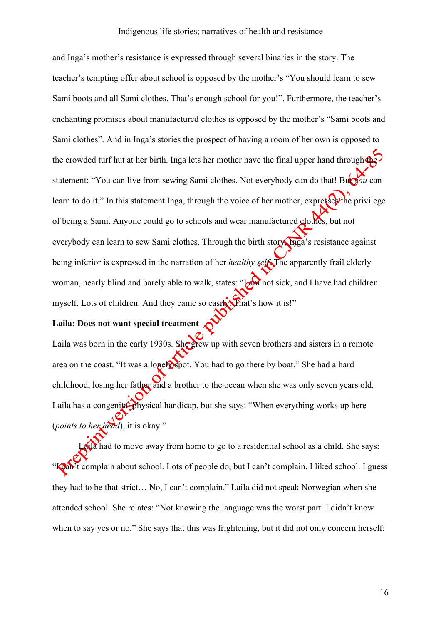and Inga's mother's resistance is expressed through several binaries in the story. The teacher's tempting offer about school is opposed by the mother's "You should learn to sew Sami boots and all Sami clothes. That's enough school for you!". Furthermore, the teacher's enchanting promises about manufactured clothes is opposed by the mother's "Sami boots and Sami clothes". And in Inga's stories the prospect of having a room of her own is opposed to the crowded turf hut at her birth. Inga lets her mother have the final upper hand through the statement: "You can live from sewing Sami clothes. Not everybody can do that! But *you* can learn to do it." In this statement Inga, through the voice of her mother, expresse the privilege of being a Sami. Anyone could go to schools and wear manufactured clothes, but not everybody can learn to sew Sami clothes. Through the birth story, Inga's resistance against being inferior is expressed in the narration of her *healthy self*. The apparently frail elderly woman, nearly blind and barely able to walk, states: "Law not sick, and I have had children myself. Lots of children. And they came so easily. That's how it is!"

# **Laila: Does not want special treatment**

Laila was born in the early 1930s. She grew up with seven brothers and sisters in a remote area on the coast. "It was a lone **p**spot. You had to go there by boat." She had a hard childhood, losing her father and a brother to the ocean when she was only seven years old. Laila has a congenital physical handicap, but she says: "When everything works up here (*points to her head*), it is okay."

**Latia** had to move away from home to go to a residential school as a child. She says: "Koan't complain about school. Lots of people do, but I can't complain. I liked school. I guess they had to be that strict… No, I can't complain." Laila did not speak Norwegian when she attended school. She relates: "Not knowing the language was the worst part. I didn't know when to say yes or no." She says that this was frightening, but it did not only concern herself: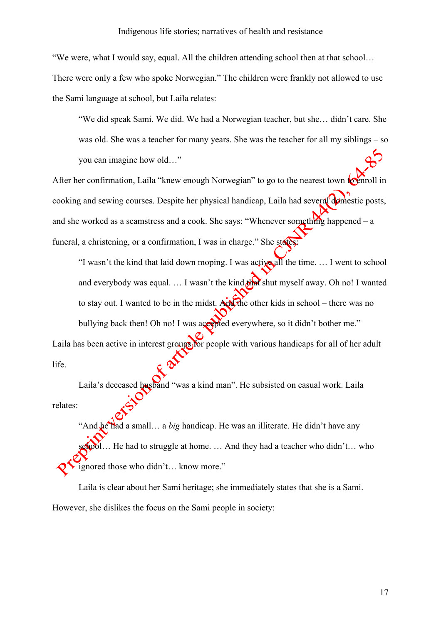"We were, what I would say, equal. All the children attending school then at that school…

There were only a few who spoke Norwegian." The children were frankly not allowed to use the Sami language at school, but Laila relates:

"We did speak Sami. We did. We had a Norwegian teacher, but she… didn't care. She was old. She was a teacher for many years. She was the teacher for all my siblings – so you can imagine how old…"

After her confirmation, Laila "knew enough Norwegian" to go to the nearest town **to enroll in** cooking and sewing courses. Despite her physical handicap, Laila had several domestic posts, and she worked as a seamstress and a cook. She says: "Whenever something happened – a funeral, a christening, or a confirmation. I was in charge." She states

"I wasn't the kind that laid down moping. I was active all the time. ... I went to school and everybody was equal.  $\ldots$  I wasn't the kind  $\frac{d}{dx}$  shut myself away. Oh no! I wanted to stay out. I wanted to be in the midst. And the other kids in school – there was no bullying back then! Oh no! I was accepted everywhere, so it didn't bother me." Laila has been active in interest groups for people with various handicaps for all of her adult life.

Laila's deceased husband "was a kind man". He subsisted on casual work. Laila relates:

"And he had a small… a *big* handicap. He was an illiterate. He didn't have any school... He had to struggle at home. ... And they had a teacher who didn't... who ignored those who didn't… know more."

Laila is clear about her Sami heritage; she immediately states that she is a Sami. However, she dislikes the focus on the Sami people in society: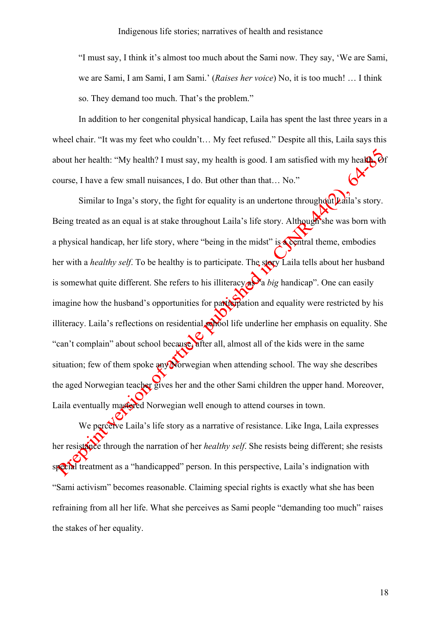"I must say, I think it's almost too much about the Sami now. They say, 'We are Sami, we are Sami, I am Sami, I am Sami.' (*Raises her voice*) No, it is too much! … I think so. They demand too much. That's the problem."

In addition to her congenital physical handicap, Laila has spent the last three years in a wheel chair. "It was my feet who couldn't… My feet refused." Despite all this, Laila says this about her health: "My health? I must say, my health is good. I am satisfied with my health. Of course, I have a few small nuisances, I do. But other than that… No."

Similar to Inga's story, the fight for equality is an undertone throughout Laila's story. Being treated as an equal is at stake throughout Laila's life story. Although she was born with a physical handicap, her life story, where "being in the midst" is **a central theme, embodies** her with a *healthy self*. To be healthy is to participate. The story Laila tells about her husband is somewhat quite different. She refers to his illiteracy  $\alpha$ <sup>3</sup> a *big* handicap". One can easily imagine how the husband's opportunities for participation and equality were restricted by his illiteracy. Laila's reflections on residential school life underline her emphasis on equality. She "can't complain" about school because, after all, almost all of the kids were in the same situation; few of them spoke  $\frac{20}{2}$  Norwegian when attending school. The way she describes the aged Norwegian teacher gives her and the other Sami children the upper hand. Moreover, Laila eventually mastered Norwegian well enough to attend courses in town.

We perceive Laila's life story as a narrative of resistance. Like Inga, Laila expresses her resistance through the narration of her *healthy self*. She resists being different; she resists special treatment as a "handicapped" person. In this perspective, Laila's indignation with "Sami activism" becomes reasonable. Claiming special rights is exactly what she has been refraining from all her life. What she perceives as Sami people "demanding too much" raises the stakes of her equality.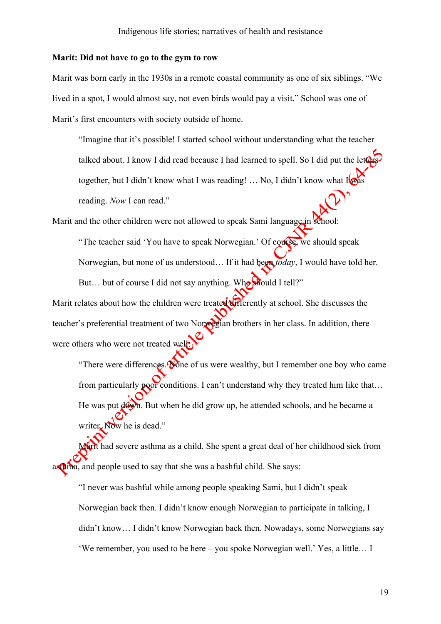### **Marit: Did not have to go to the gym to row**

Marit was born early in the 1930s in a remote coastal community as one of six siblings. "We lived in a spot, I would almost say, not even birds would pay a visit." School was one of Marit's first encounters with society outside of home.

"Imagine that it's possible! I started school without understanding what the teacher talked about. I know I did read because I had learned to spell. So I did put the leter together, but I didn't know what I was reading!  $\ldots$  No, I didn't know what I was reading. *Now* I can read."

Marit and the other children were not allowed to speak Sami language in school:

"The teacher said 'You have to speak Norwegian.' Of course, we should speak Norwegian, but none of us understood… If it had been *today*, I would have told her. But... but of course I did not say anything. Who should I tell?"

Marit relates about how the children were treated differently at school. She discusses the teacher's preferential treatment of two Norwegian brothers in her class. In addition, there were others who were not treated well:

"There were differences.  $\delta$  one of us were wealthy, but I remember one boy who came from particularly poor conditions. I can't understand why they treated him like that... He was put  $d\hat{\Theta}$ . But when he did grow up, he attended schools, and he became a writer. Now he is dead."

Marit had severe asthma as a child. She spent a great deal of her childhood sick from asthma, and people used to say that she was a bashful child. She says:

"I never was bashful while among people speaking Sami, but I didn't speak Norwegian back then. I didn't know enough Norwegian to participate in talking, I didn't know… I didn't know Norwegian back then. Nowadays, some Norwegians say 'We remember, you used to be here – you spoke Norwegian well.' Yes, a little… I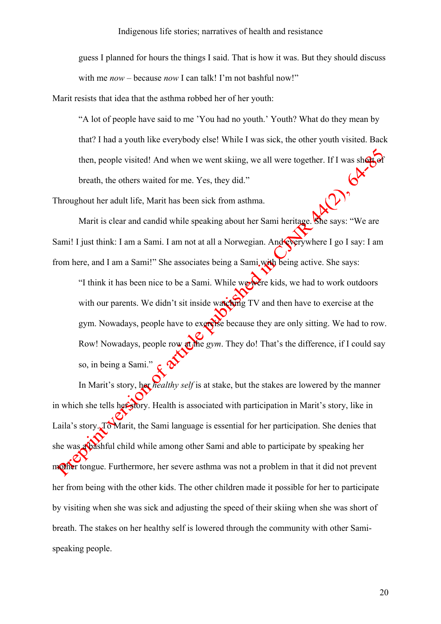guess I planned for hours the things I said. That is how it was. But they should discuss with me *now* – because *now* I can talk! I'm not bashful now!"

Marit resists that idea that the asthma robbed her of her youth:

"A lot of people have said to me 'You had no youth.' Youth? What do they mean by that? I had a youth like everybody else! While I was sick, the other youth visited. Back then, people visited! And when we went skiing, we all were together. If I was short of breath, the others waited for me. Yes, they did."

Throughout her adult life, Marit has been sick from asthma.

Marit is clear and candid while speaking about her Sami heritage. She says: "We are Sami! I just think: I am a Sami. I am not at all a Norwegian. And everywhere I go I say: I am from here, and I am a Sami!" She associates being a Sami, with being active. She says:

"I think it has been nice to be a Sami. While we were kids, we had to work outdoors with our parents. We didn't sit inside watching TV and then have to exercise at the gym. Nowadays, people have to exercise because they are only sitting. We had to row. Row! Nowadays, people row at the *gym*. They do! That's the difference, if I could say so, in being a Sami.

In Marit's story, her *healthy self* is at stake, but the stakes are lowered by the manner in which she tells her story. Health is associated with participation in Marit's story, like in Laila's story. To Marit, the Sami language is essential for her participation. She denies that she was a bashful child while among other Sami and able to participate by speaking her mother tongue. Furthermore, her severe asthma was not a problem in that it did not prevent her from being with the other kids. The other children made it possible for her to participate by visiting when she was sick and adjusting the speed of their skiing when she was short of breath. The stakes on her healthy self is lowered through the community with other Samispeaking people.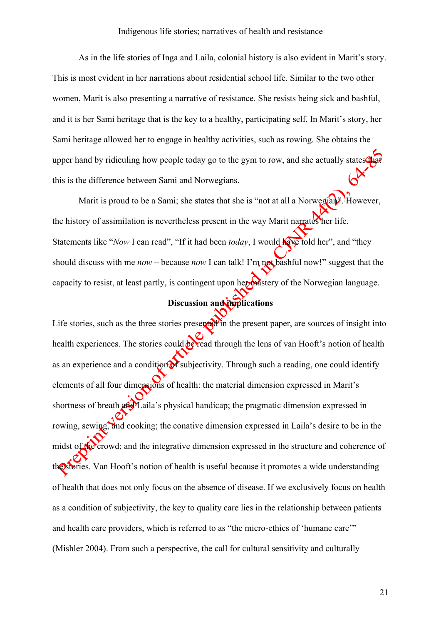As in the life stories of Inga and Laila, colonial history is also evident in Marit's story. This is most evident in her narrations about residential school life. Similar to the two other women, Marit is also presenting a narrative of resistance. She resists being sick and bashful, and it is her Sami heritage that is the key to a healthy, participating self. In Marit's story, her Sami heritage allowed her to engage in healthy activities, such as rowing. She obtains the upper hand by ridiculing how people today go to the gym to row, and she actually states that this is the difference between Sami and Norwegians.

Marit is proud to be a Sami; she states that she is "not at all a Norwegian". However, the history of assimilation is nevertheless present in the way Marit narrates her life. Statements like "*Now* I can read", "If it had been *today*, I would **have** told her", and "they should discuss with me *now* – because *now* I can talk! I'm not bashful now!" suggest that the capacity to resist, at least partly, is contingent upon her mastery of the Norwegian language.

# **Discussion and implications**

Life stories, such as the three stories presented in the present paper, are sources of insight into health experiences. The stories could be read through the lens of van Hooft's notion of health as an experience and a condition of subjectivity. Through such a reading, one could identify elements of all four dimensions of health: the material dimension expressed in Marit's shortness of breath  $\mathbf{a}$  $\mathbf{\hat{a}}$  $\mathbf{\hat{d}}$ Laila's physical handicap; the pragmatic dimension expressed in rowing, sewing, and cooking; the conative dimension expressed in Laila's desire to be in the midst of the crowd; and the integrative dimension expressed in the structure and coherence of the stories. Van Hooft's notion of health is useful because it promotes a wide understanding of health that does not only focus on the absence of disease. If we exclusively focus on health as a condition of subjectivity, the key to quality care lies in the relationship between patients and health care providers, which is referred to as "the micro-ethics of 'humane care'" (Mishler 2004). From such a perspective, the call for cultural sensitivity and culturally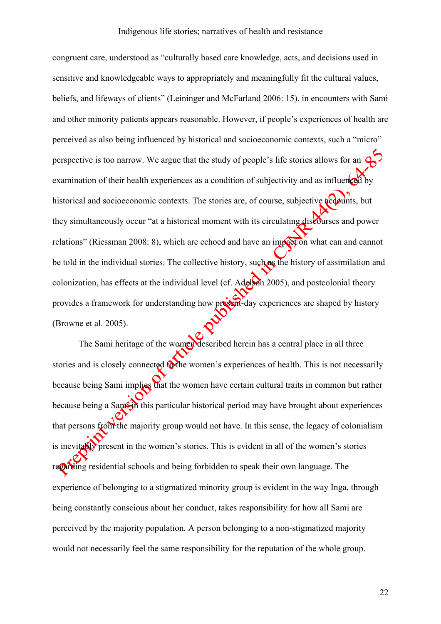congruent care, understood as "culturally based care knowledge, acts, and decisions used in sensitive and knowledgeable ways to appropriately and meaningfully fit the cultural values, beliefs, and lifeways of clients" (Leininger and McFarland 2006: 15), in encounters with Sami and other minority patients appears reasonable. However, if people's experiences of health are perceived as also being influenced by historical and socioeconomic contexts, such a "micro" perspective is too narrow. We argue that the study of people's life stories allows for an examination of their health experiences as a condition of subjectivity and as influenced by historical and socioeconomic contexts. The stories are, of course, subjective accounts, but they simultaneously occur "at a historical moment with its circulating discourses and power relations" (Riessman 2008: 8), which are echoed and have an impact on what can and cannot be told in the individual stories. The collective history, such as the history of assimilation and colonization, has effects at the individual level (cf. Adelson 2005), and postcolonial theory provides a framework for understanding how present-day experiences are shaped by history (Browne et al. 2005).

The Sami heritage of the women described herein has a central place in all three stories and is closely connected to the women's experiences of health. This is not necessarily because being Sami implies that the women have certain cultural traits in common but rather because being a Sami-in this particular historical period may have brought about experiences that persons from the majority group would not have. In this sense, the legacy of colonialism is inevitably present in the women's stories. This is evident in all of the women's stories regarding residential schools and being forbidden to speak their own language. The experience of belonging to a stigmatized minority group is evident in the way Inga, through being constantly conscious about her conduct, takes responsibility for how all Sami are perceived by the majority population. A person belonging to a non-stigmatized majority would not necessarily feel the same responsibility for the reputation of the whole group.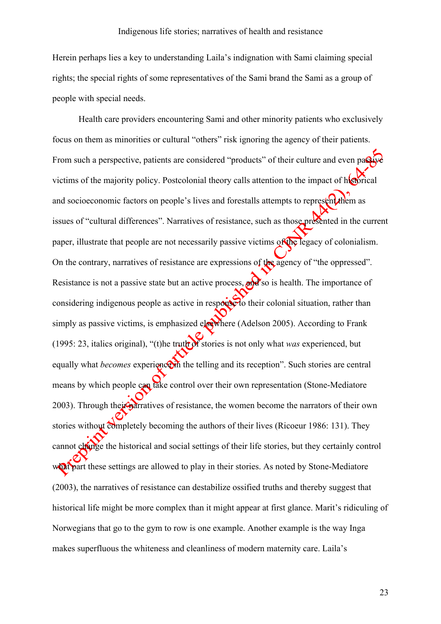Herein perhaps lies a key to understanding Laila's indignation with Sami claiming special rights; the special rights of some representatives of the Sami brand the Sami as a group of people with special needs.

Health care providers encountering Sami and other minority patients who exclusively focus on them as minorities or cultural "others" risk ignoring the agency of their patients. From such a perspective, patients are considered "products" of their culture and even passive victims of the majority policy. Postcolonial theory calls attention to the impact of historical and socioeconomic factors on people's lives and forestalls attempts to represent them as issues of "cultural differences". Narratives of resistance, such as those presented in the current paper, illustrate that people are not necessarily passive victims of the legacy of colonialism. On the contrary, narratives of resistance are expressions of the agency of "the oppressed". Resistance is not a passive state but an active process,  $\alpha$ ,  $\alpha$  so is health. The importance of considering indigenous people as active in response to their colonial situation, rather than simply as passive victims, is emphasized elsewhere (Adelson 2005). According to Frank (1995: 23, italics original), "(t)he truth of stories is not only what *was* experienced, but equally what *becomes* experience in the telling and its reception". Such stories are central means by which people can take control over their own representation (Stone-Mediatore 2003). Through their narratives of resistance, the women become the narrators of their own stories without completely becoming the authors of their lives (Ricoeur 1986: 131). They cannot change the historical and social settings of their life stories, but they certainly control what part these settings are allowed to play in their stories. As noted by Stone-Mediatore (2003), the narratives of resistance can destabilize ossified truths and thereby suggest that historical life might be more complex than it might appear at first glance. Marit's ridiculing of Norwegians that go to the gym to row is one example. Another example is the way Inga makes superfluous the whiteness and cleanliness of modern maternity care. Laila's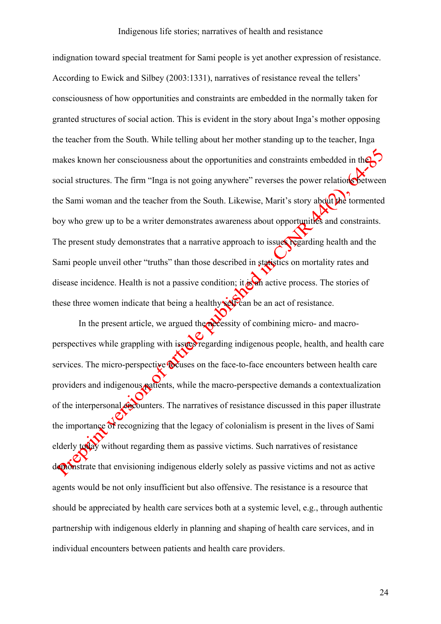indignation toward special treatment for Sami people is yet another expression of resistance. According to Ewick and Silbey (2003:1331), narratives of resistance reveal the tellers' consciousness of how opportunities and constraints are embedded in the normally taken for granted structures of social action. This is evident in the story about Inga's mother opposing the teacher from the South. While telling about her mother standing up to the teacher, Inga makes known her consciousness about the opportunities and constraints embedded in the social structures. The firm "Inga is not going anywhere" reverses the power relations between the Sami woman and the teacher from the South. Likewise, Marit's story about the tormented boy who grew up to be a writer demonstrates awareness about opportunities and constraints. The present study demonstrates that a narrative approach to issues regarding health and the Sami people unveil other "truths" than those described in statistics on mortality rates and disease incidence. Health is not a passive condition; it  $\frac{1}{6}$  active process. The stories of these three women indicate that being a healthy  $\mathbb{R}^{\mathbb{C}}$  and  $\mathbb{R}^{\mathbb{C}}$  and act of resistance.

In the present article, we argued the necessity of combining micro- and macroperspectives while grappling with issues regarding indigenous people, health, and health care services. The micro-perspective **focuses** on the face-to-face encounters between health care providers and indigenous patients, while the macro-perspective demands a contextualization of the interpersonal encounters. The narratives of resistance discussed in this paper illustrate the importance of recognizing that the legacy of colonialism is present in the lives of Sami elderly today without regarding them as passive victims. Such narratives of resistance demonstrate that envisioning indigenous elderly solely as passive victims and not as active agents would be not only insufficient but also offensive. The resistance is a resource that should be appreciated by health care services both at a systemic level, e.g., through authentic partnership with indigenous elderly in planning and shaping of health care services, and in individual encounters between patients and health care providers.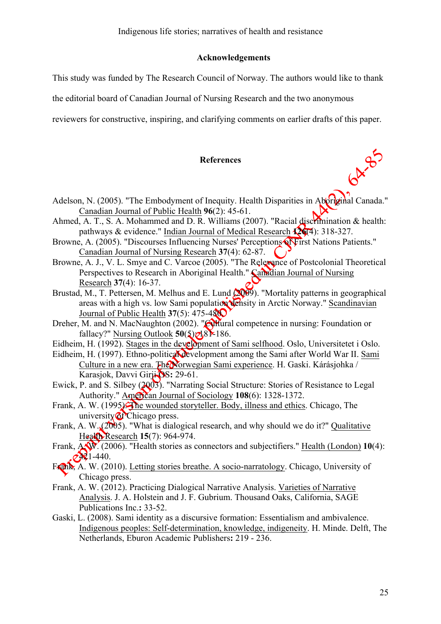# **Acknowledgements**

This study was funded by The Research Council of Norway. The authors would like to thank

the editorial board of Canadian Journal of Nursing Research and the two anonymous

reviewers for constructive, inspiring, and clarifying comments on earlier drafts of this paper.

# **References**

- Adelson, N. (2005). "The Embodyment of Inequity. Health Disparities in Aboriginal Canada." Canadian Journal of Public Health **96**(2): 45-61.
- Ahmed, A. T., S. A. Mohammed and D. R. Williams (2007). "Racial discrimination & health: pathways & evidence." Indian Journal of Medical Research **126**(4): 318-327.
- Browne, A. (2005). "Discourses Influencing Nurses' Perceptions Of First Nations Patients." Canadian Journal of Nursing Research **37**(4): 62-87.
- Browne, A. J., V. L. Smye and C. Varcoe (2005). "The Relevance of Postcolonial Theoretical Perspectives to Research in Aboriginal Health." Canadian Journal of Nursing Research **37**(4): 16-37.
- Brustad, M., T. Pettersen, M. Melhus and E. Lund (2009). "Mortality patterns in geographical areas with a high vs. low Sami population density in Arctic Norway." Scandinavian Journal of Public Health **37**(5): 475-480.
- Dreher, M. and N. MacNaughton (2002). "Cultural competence in nursing: Foundation or fallacy?" Nursing Outlook  $50(5)$  $\bigcirc$ <sub>181</sub>-186.
- Eidheim, H. (1992). Stages in the development of Sami selfhood. Oslo, Universitetet i Oslo.
- Eidheim, H. (1997). Ethno-political development among the Sami after World War II. Sami Culture in a new era. The Norwegian Sami experience. H. Gaski. Kárásjohka / Karasjok, Davvi Girji OS**:** 29-61.
- Ewick, P. and S. Silbey (2003). "Narrating Social Structure: Stories of Resistance to Legal Authority." American Journal of Sociology **108**(6): 1328-1372.
- Frank, A. W. (1995). The wounded storyteller. Body, illness and ethics. Chicago, The university of Chicago press.
- Frank, A. W.  $(2005)$ . "What is dialogical research, and why should we do it?" Qualitative Health Research **15**(7): 964-974.
- Frank, A.W. (2006). "Health stories as connectors and subjectifiers." Health (London) **10**(4):  $241 - 440$ .
- Frank, A. W. (2010). Letting stories breathe. A socio-narratology. Chicago, University of Chicago press.
- Frank, A. W. (2012). Practicing Dialogical Narrative Analysis. Varieties of Narrative Analysis. J. A. Holstein and J. F. Gubrium. Thousand Oaks, California, SAGE Publications Inc.**:** 33-52.
- Gaski, L. (2008). Sami identity as a discursive formation: Essentialism and ambivalence. Indigenous peoples: Self-determination, knowledge, indigeneity. H. Minde. Delft, The Netherlands, Eburon Academic Publishers**:** 219 - 236.

64.95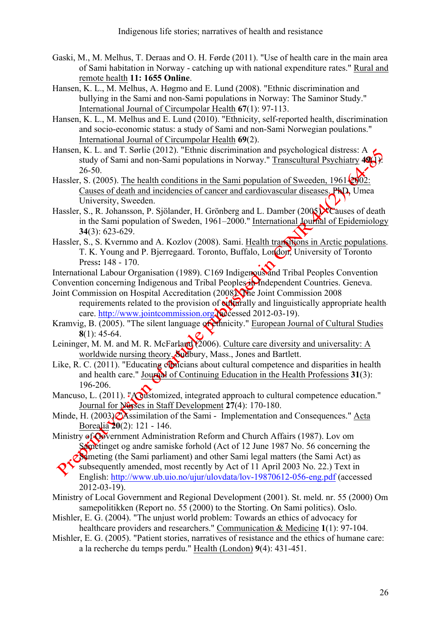- Gaski, M., M. Melhus, T. Deraas and O. H. Førde (2011). "Use of health care in the main area of Sami habitation in Norway - catching up with national expenditure rates." Rural and remote health **11: 1655 Online**.
- Hansen, K. L., M. Melhus, A. Høgmo and E. Lund (2008). "Ethnic discrimination and bullying in the Sami and non-Sami populations in Norway: The Saminor Study." International Journal of Circumpolar Health **67**(1): 97-113.
- Hansen, K. L., M. Melhus and E. Lund (2010). "Ethnicity, self-reported health, discrimination and socio-economic status: a study of Sami and non-Sami Norwegian poulations." International Journal of Circumpolar Health **69**(2).
- Hansen, K. L. and T. Sørlie (2012). "Ethnic discrimination and psychological distress: A study of Sami and non-Sami populations in Norway." Transcultural Psychiatry **49**(1): 26-50.
- Hassler, S. (2005). The health conditions in the Sami population of Sweeden,  $1961\overline{2002}$ : Causes of death and incidencies of cancer and cardiovascular diseases. PhD, Umea University, Sweeden.
- Hassler, S., R. Johansson, P. Sjölander, H. Grönberg and L. Damber (2005). Causes of death in the Sami population of Sweden, 1961–2000." International Journal of Epidemiology **34**(3): 623-629.
- Hassler, S., S. Kvernmo and A. Kozlov (2008). Sami. Health transitions in Arctic populations. T. K. Young and P. Bjerregaard. Toronto, Buffalo, London, University of Toronto Press**:** 148 - 170.
- International Labour Organisation (1989). C169 Indigenous and Tribal Peoples Convention
- Convention concerning Indigenous and Tribal Peoples in Independent Countries. Geneva. Joint Commission on Hospital Accreditation (2008). The Joint Commission 2008
- requirements related to the provision of **ontainally** and linguistically appropriate health care. http://www.jointcommission.org @cessed 2012-03-19).
- Kramvig, B. (2005). "The silent language of ethnicity." European Journal of Cultural Studies **8**(1): 45-64.
- Leininger, M. M. and M. R. McFarland (2006). Culture care diversity and universality: A worldwide nursing theory. Sudbury, Mass., Jones and Bartlett.
- Like, R. C. (2011). "Educating conficians about cultural competence and disparities in health and health care." Journal of Continuing Education in the Health Professions  $31(3)$ : 196-206.
- Mancuso, L. (2011). "A outstomized, integrated approach to cultural competence education." Journal for Nurses in Staff Development **27**(4): 170-180.
- Minde, H. (2003). Assimilation of the Sami Implementation and Consequences." Acta Borealia **20**(2): 121 - 146.
- Ministry of Government Administration Reform and Church Affairs (1987). Lov om Sametinget og andre samiske forhold (Act of 12 June 1987 No. 56 concerning the Sameting (the Sami parliament) and other Sami legal matters (the Sami Act) as
	- subsequently amended, most recently by Act of 11 April 2003 No. 22.) Text in English: http://www.ub.uio.no/ujur/ulovdata/lov-19870612-056-eng.pdf (accessed 2012-03-19).
- Ministry of Local Government and Regional Development (2001). St. meld. nr. 55 (2000) Om samepolitikken (Report no. 55 (2000) to the Storting. On Sami politics). Oslo.
- Mishler, E. G. (2004). "The unjust world problem: Towards an ethics of advocacy for healthcare providers and researchers." Communication & Medicine **1**(1): 97-104.
- Mishler, E. G. (2005). "Patient stories, narratives of resistance and the ethics of humane care: a la recherche du temps perdu." Health (London) **9**(4): 431-451.